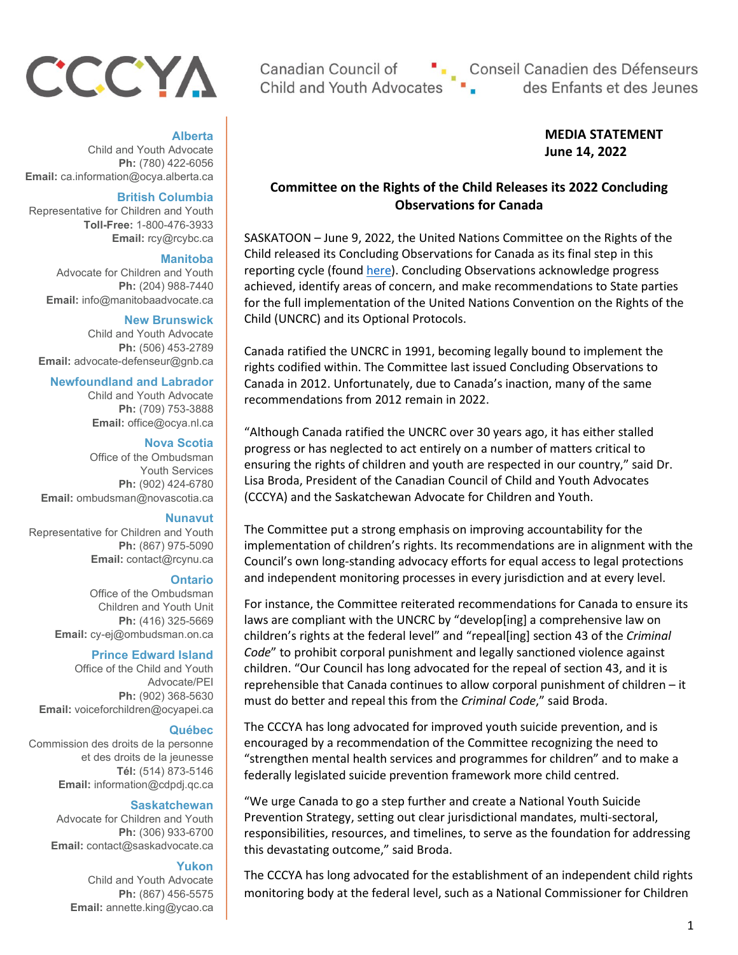# CCCYA

## **Alberta**

Child and Youth Advocate **Ph:** (780) 422-6056 **Email:** ca.information@ocya.alberta.ca

#### **British Columbia**

Representative for Children and Youth **Toll-Free:** 1-800-476-3933 **Email:** rcy@rcybc.ca

#### **Manitoba**

Advocate for Children and Youth **Ph:** (204) 988-7440 **Email:** info@manitobaadvocate.ca

#### **New Brunswick**

Child and Youth Advocate **Ph:** (506) 453-2789 **Email:** advocate-defenseur@gnb.ca

#### **Newfoundland and Labrador**

Child and Youth Advocate **Ph:** (709) 753-3888 **Email:** office@ocya.nl.ca

#### **Nova Scotia**

Office of the Ombudsman Youth Services **Ph:** (902) 424-6780 **Email:** ombudsman@novascotia.ca

#### **Nunavut**

Representative for Children and Youth **Ph:** (867) 975-5090 **Email:** contact@rcynu.ca

#### **Ontario**

Office of the Ombudsman Children and Youth Unit **Ph:** (416) 325-5669 **Email:** cy-ej@ombudsman.on.ca

#### **Prince Edward Island**

Office of the Child and Youth Advocate/PEI **Ph:** (902) 368-5630 **Email:** voiceforchildren@ocyapei.ca

#### **Québec**

Commission des droits de la personne et des droits de la jeunesse **Tél:** (514) 873-5146 **Email:** information@cdpdj.qc.ca

#### **Saskatchewan**

Advocate for Children and Youth **Ph:** (306) 933-6700 **Email:** contact@saskadvocate.ca

#### **Yukon**

Child and Youth Advocate **Ph:** (867) 456-5575 **Email:** annette.king@ycao.ca

Canadian Council of **Child and Youth Advocates** 

". Conseil Canadien des Défenseurs<br>es ". des Enfants et des Jeunes

## **MEDIA STATEMENT June 14, 2022**

## **Committee on the Rights of the Child Releases its 2022 Concluding Observations for Canada**

SASKATOON – June 9, 2022, the United Nations Committee on the Rights of the Child released its Concluding Observations for Canada as its final step in this reporting cycle (found [here\)](https://tbinternet.ohchr.org/Treaties/CRC/Shared%20Documents/CAN/CRC_C_CAN_CO_5-6_48911_E.pdf). Concluding Observations acknowledge progress achieved, identify areas of concern, and make recommendations to State parties for the full implementation of the United Nations Convention on the Rights of the Child (UNCRC) and its Optional Protocols.

Canada ratified the UNCRC in 1991, becoming legally bound to implement the rights codified within. The Committee last issued Concluding Observations to Canada in 2012. Unfortunately, due to Canada's inaction, many of the same recommendations from 2012 remain in 2022.

"Although Canada ratified the UNCRC over 30 years ago, it has either stalled progress or has neglected to act entirely on a number of matters critical to ensuring the rights of children and youth are respected in our country," said Dr. Lisa Broda, President of the Canadian Council of Child and Youth Advocates (CCCYA) and the Saskatchewan Advocate for Children and Youth.

The Committee put a strong emphasis on improving accountability for the implementation of children's rights. Its recommendations are in alignment with the Council's own long-standing advocacy efforts for equal access to legal protections and independent monitoring processes in every jurisdiction and at every level.

For instance, the Committee reiterated recommendations for Canada to ensure its laws are compliant with the UNCRC by "develop[ing] a comprehensive law on children's rights at the federal level" and "repeal[ing] section 43 of the *Criminal Code*" to prohibit corporal punishment and legally sanctioned violence against children. "Our Council has long advocated for the repeal of section 43, and it is reprehensible that Canada continues to allow corporal punishment of children – it must do better and repeal this from the *Criminal Code*," said Broda.

The CCCYA has long advocated for improved youth suicide prevention, and is encouraged by a recommendation of the Committee recognizing the need to "strengthen mental health services and programmes for children" and to make a federally legislated suicide prevention framework more child centred.

"We urge Canada to go a step further and create a National Youth Suicide Prevention Strategy, setting out clear jurisdictional mandates, multi-sectoral, responsibilities, resources, and timelines, to serve as the foundation for addressing this devastating outcome," said Broda.

The CCCYA has long advocated for the establishment of an independent child rights monitoring body at the federal level, such as a National Commissioner for Children